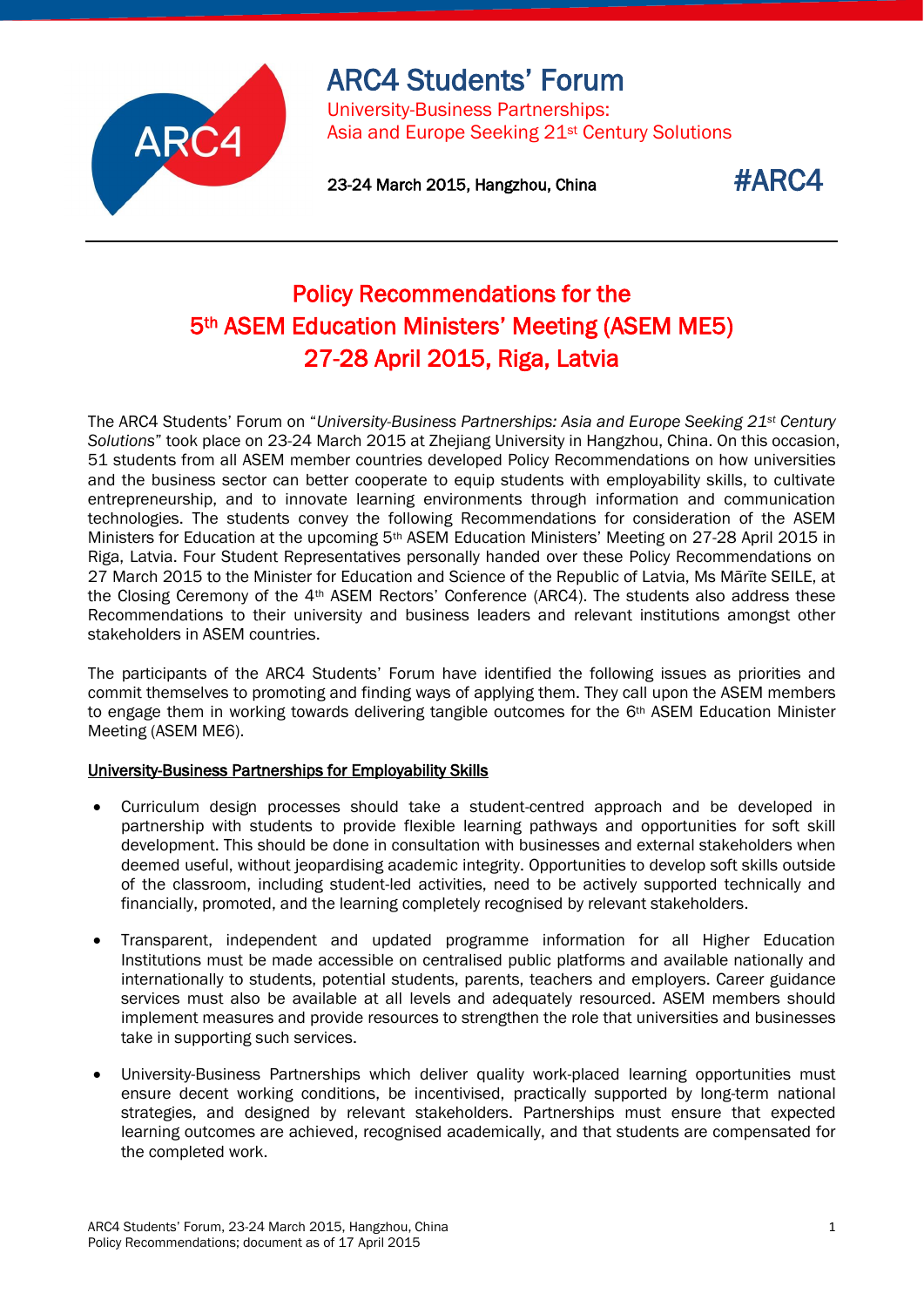

# ARC4 Students' Forum

University-Business Partnerships: Asia and Europe Seeking 21st Century Solutions

23-24 March 2015, Hangzhou, China  $\texttt{\#ARC4}$ 

# Policy Recommendations for the 5th ASEM Education Ministers' Meeting (ASEM ME5) 27-28 April 2015, Riga, Latvia

The ARC4 Students' Forum on "*University-Business Partnerships: Asia and Europe Seeking 21st Century Solutions*" took place on 23-24 March 2015 at Zhejiang University in Hangzhou, China. On this occasion, 51 students from all ASEM member countries developed Policy Recommendations on how universities and the business sector can better cooperate to equip students with employability skills, to cultivate entrepreneurship, and to innovate learning environments through information and communication technologies. The students convey the following Recommendations for consideration of the ASEM Ministers for Education at the upcoming 5th ASEM Education Ministers' Meeting on 27-28 April 2015 in Riga, Latvia. Four Student Representatives personally handed over these Policy Recommendations on 27 March 2015 to the Minister for Education and Science of the Republic of Latvia, Ms Mārīte SEILE, at the Closing Ceremony of the 4<sup>th</sup> ASEM Rectors' Conference (ARC4). The students also address these Recommendations to their university and business leaders and relevant institutions amongst other stakeholders in ASEM countries.

The participants of the ARC4 Students' Forum have identified the following issues as priorities and commit themselves to promoting and finding ways of applying them. They call upon the ASEM members to engage them in working towards delivering tangible outcomes for the 6<sup>th</sup> ASEM Education Minister Meeting (ASEM ME6).

## University-Business Partnerships for Employability Skills

- Curriculum design processes should take a student-centred approach and be developed in partnership with students to provide flexible learning pathways and opportunities for soft skill development. This should be done in consultation with businesses and external stakeholders when deemed useful, without jeopardising academic integrity. Opportunities to develop soft skills outside of the classroom, including student-led activities, need to be actively supported technically and financially, promoted, and the learning completely recognised by relevant stakeholders.
- Transparent, independent and updated programme information for all Higher Education Institutions must be made accessible on centralised public platforms and available nationally and internationally to students, potential students, parents, teachers and employers. Career guidance services must also be available at all levels and adequately resourced. ASEM members should implement measures and provide resources to strengthen the role that universities and businesses take in supporting such services.
- University-Business Partnerships which deliver quality work-placed learning opportunities must ensure decent working conditions, be incentivised, practically supported by long-term national strategies, and designed by relevant stakeholders. Partnerships must ensure that expected learning outcomes are achieved, recognised academically, and that students are compensated for the completed work.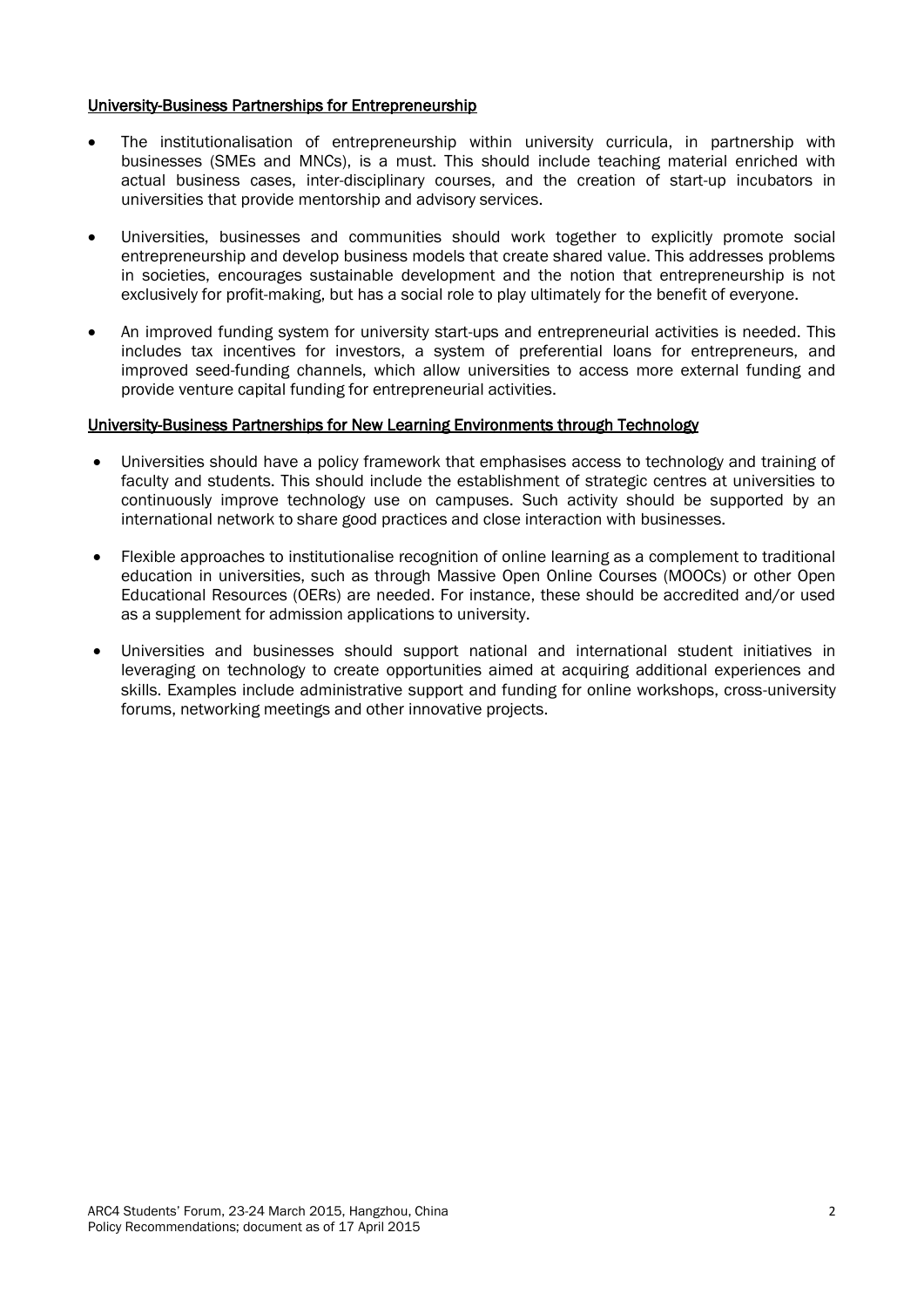### University-Business Partnerships for Entrepreneurship

- The institutionalisation of entrepreneurship within university curricula, in partnership with businesses (SMEs and MNCs), is a must. This should include teaching material enriched with actual business cases, inter-disciplinary courses, and the creation of start-up incubators in universities that provide mentorship and advisory services.
- Universities, businesses and communities should work together to explicitly promote social entrepreneurship and develop business models that create shared value. This addresses problems in societies, encourages sustainable development and the notion that entrepreneurship is not exclusively for profit-making, but has a social role to play ultimately for the benefit of everyone.
- An improved funding system for university start-ups and entrepreneurial activities is needed. This includes tax incentives for investors, a system of preferential loans for entrepreneurs, and improved seed-funding channels, which allow universities to access more external funding and provide venture capital funding for entrepreneurial activities.

### University-Business Partnerships for New Learning Environments through Technology

- Universities should have a policy framework that emphasises access to technology and training of faculty and students. This should include the establishment of strategic centres at universities to continuously improve technology use on campuses. Such activity should be supported by an international network to share good practices and close interaction with businesses.
- Flexible approaches to institutionalise recognition of online learning as a complement to traditional education in universities, such as through Massive Open Online Courses (MOOCs) or other Open Educational Resources (OERs) are needed. For instance, these should be accredited and/or used as a supplement for admission applications to university.
- Universities and businesses should support national and international student initiatives in leveraging on technology to create opportunities aimed at acquiring additional experiences and skills. Examples include administrative support and funding for online workshops, cross-university forums, networking meetings and other innovative projects.